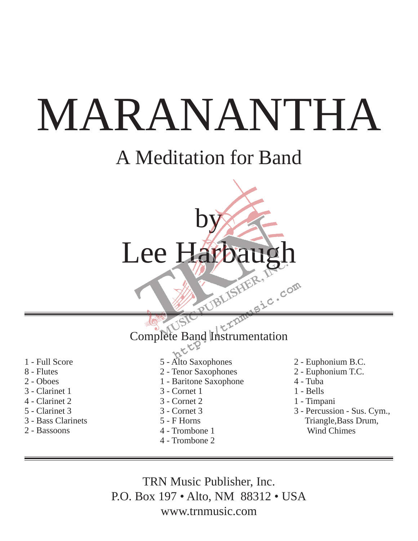## A Meditation for Band

# by Lee Harbaug

Complete Band Instrumentation

- 1 Full Score
- 8 Flutes
- 2 Oboes
- 3 Clarinet 1
- 4 Clarinet 2
- 5 Clarinet 3
- 3 Bass Clarinets
- 2 Bassoons
- 5 Alto Saxophones
- 2 Tenor Saxophones
- 1 Baritone Saxophone
- 3 Cornet 1
- 3 Cornet 2
- 3 Cornet 3
- 5 F Horns
- 4 Trombone 1
- 4 Trombone 2
- 2 Euphonium B.C.
- 2 Euphonium T.C.
- 4 Tuba

**COM** 

- 1 Bells
- 1 Timpani
- 3 Percussion Sus. Cym., Triangle,Bass Drum, Wind Chimes

TRN Music Publisher, Inc. P.O. Box 197 • Alto, NM 88312 • USA www.trnmusic.com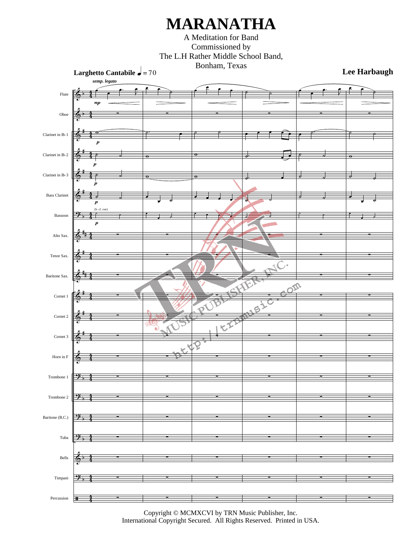A Meditation for Band Commissioned by The L.H Rather Middle School Band, Bonham, Texas



Copyright © MCMXCVI by TRN Music Publisher, Inc. International Copyright Secured. All Rights Reserved. Printed in USA.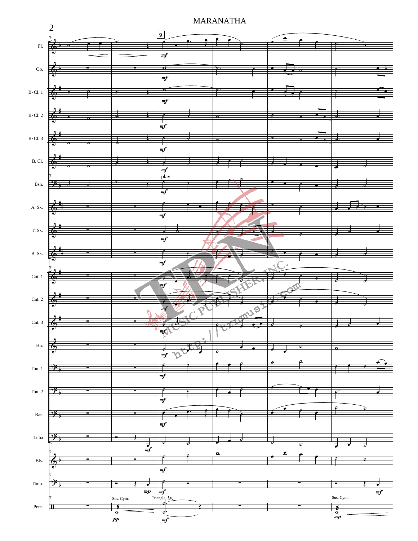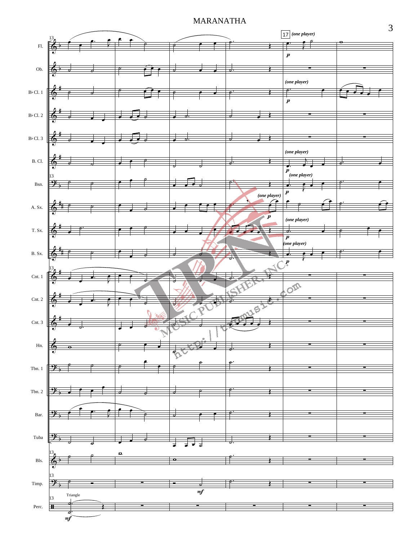

3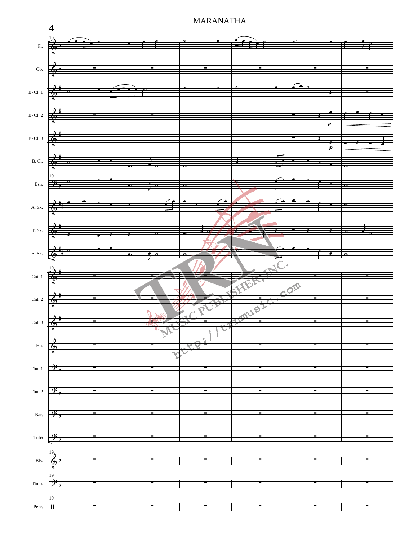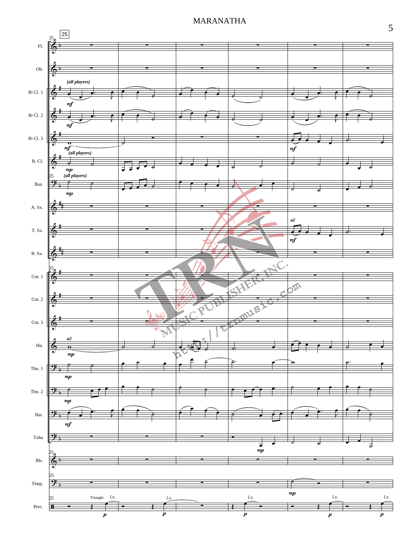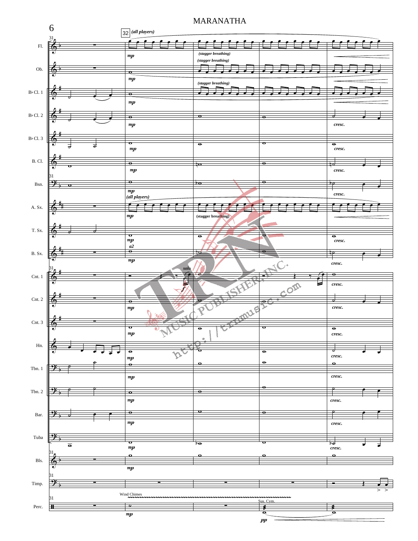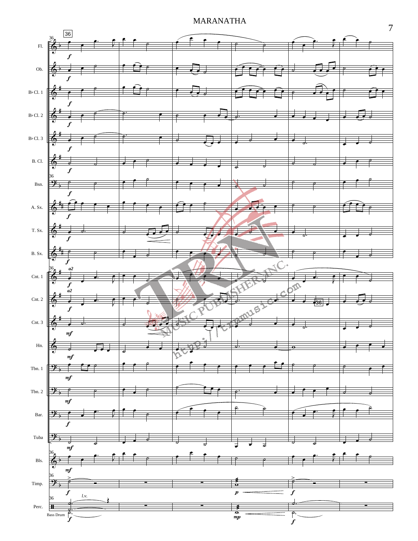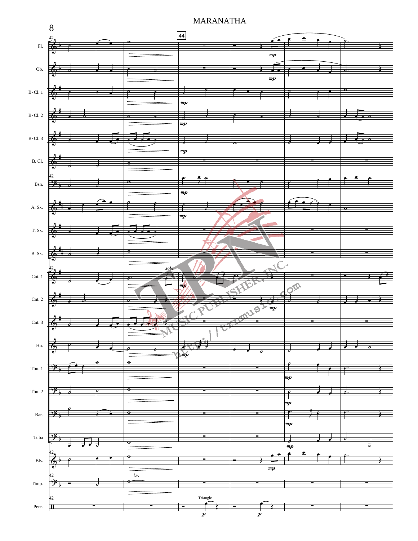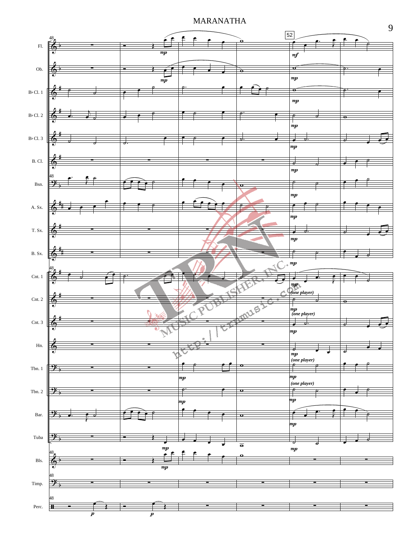

9